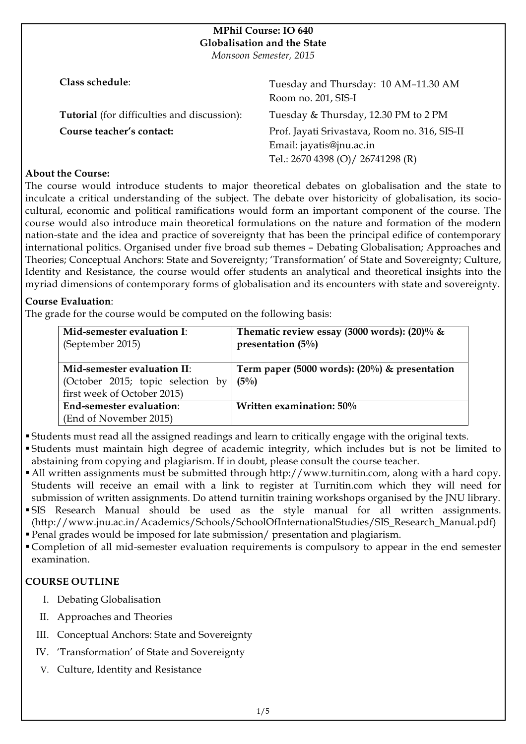# **MPhil Course: IO 640 Globalisation and the State**

*Monsoon Semester, 2015*

| Class schedule:                                    | Tuesday and Thursday: 10 AM-11.30 AM<br>Room no. 201, SIS-I                                                    |
|----------------------------------------------------|----------------------------------------------------------------------------------------------------------------|
| <b>Tutorial</b> (for difficulties and discussion): | Tuesday & Thursday, 12.30 PM to 2 PM                                                                           |
| Course teacher's contact:                          | Prof. Jayati Srivastava, Room no. 316, SIS-II<br>Email: jayatis@jnu.ac.in<br>Tel.: 2670 4398 (O)/ 26741298 (R) |

# **About the Course:**

The course would introduce students to major theoretical debates on globalisation and the state to inculcate a critical understanding of the subject. The debate over historicity of globalisation, its sociocultural, economic and political ramifications would form an important component of the course. The course would also introduce main theoretical formulations on the nature and formation of the modern nation-state and the idea and practice of sovereignty that has been the principal edifice of contemporary international politics. Organised under five broad sub themes – Debating Globalisation; Approaches and Theories; Conceptual Anchors: State and Sovereignty; 'Transformation' of State and Sovereignty; Culture, Identity and Resistance, the course would offer students an analytical and theoretical insights into the myriad dimensions of contemporary forms of globalisation and its encounters with state and sovereignty.

# **Course Evaluation**:

The grade for the course would be computed on the following basis:

| Mid-semester evaluation I:<br>(September 2015) | Thematic review essay (3000 words): (20)% $\&$<br>presentation $(5\%)$ |
|------------------------------------------------|------------------------------------------------------------------------|
| Mid-semester evaluation II:                    | Term paper (5000 words): $(20\%)$ & presentation                       |
| (October 2015; topic selection by              | $(5\%)$                                                                |
| first week of October 2015)                    |                                                                        |
| End-semester evaluation:                       | Written examination: 50%                                               |
| (End of November 2015)                         |                                                                        |

! Students must read all the assigned readings and learn to critically engage with the original texts.

- ! Students must maintain high degree of academic integrity, which includes but is not be limited to abstaining from copying and plagiarism. If in doubt, please consult the course teacher.
- ! All written assignments must be submitted through http://www.turnitin.com, along with a hard copy. Students will receive an email with a link to register at Turnitin.com which they will need for submission of written assignments. Do attend turnitin training workshops organised by the JNU library.
- ! SIS Research Manual should be used as the style manual for all written assignments. (http://www.jnu.ac.in/Academics/Schools/SchoolOfInternationalStudies/SIS\_Research\_Manual.pdf)
- ! Penal grades would be imposed for late submission/ presentation and plagiarism.
- ! Completion of all mid-semester evaluation requirements is compulsory to appear in the end semester examination.

# **COURSE OUTLINE**

- I. Debating Globalisation
- II. Approaches and Theories
- III. Conceptual Anchors: State and Sovereignty
- IV. 'Transformation' of State and Sovereignty
- V. Culture, Identity and Resistance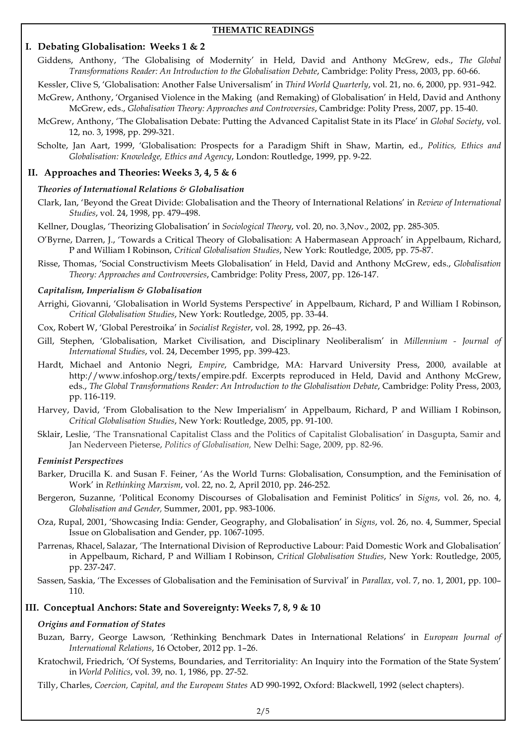#### **THEMATIC READINGS**

# **I. Debating Globalisation: Weeks 1 & 2**

Giddens, Anthony, 'The Globalising of Modernity' in Held, David and Anthony McGrew, eds., *The Global Transformations Reader: An Introduction to the Globalisation Debate*, Cambridge: Polity Press, 2003, pp. 60-66.

Kessler, Clive S, 'Globalisation: Another False Universalism' in *Third World Quarterly*, vol. 21, no. 6, 2000, pp. 931–942.

- McGrew, Anthony, 'Organised Violence in the Making (and Remaking) of Globalisation' in Held, David and Anthony McGrew, eds., *Globalisation Theory: Approaches and Controversies*, Cambridge: Polity Press, 2007, pp. 15-40.
- McGrew, Anthony, 'The Globalisation Debate: Putting the Advanced Capitalist State in its Place' in *Global Society*, vol. 12, no. 3, 1998, pp. 299-321.
- Scholte, Jan Aart, 1999, 'Globalisation: Prospects for a Paradigm Shift in Shaw, Martin, ed., *Politics, Ethics and Globalisation: Knowledge, Ethics and Agency*, London: Routledge, 1999, pp. 9-22.

# **II. Approaches and Theories: Weeks 3, 4, 5 & 6**

## *Theories of International Relations & Globalisation*

- Clark, Ian, 'Beyond the Great Divide: Globalisation and the Theory of International Relations' in *Review of International Studies*, vol. 24, 1998, pp. 479–498.
- Kellner, Douglas, 'Theorizing Globalisation' in *Sociological Theory*, vol. 20, no. 3,Nov., 2002, pp. 285-305.
- O'Byrne, Darren, J., 'Towards a Critical Theory of Globalisation: A Habermasean Approach' in Appelbaum, Richard, P and William I Robinson, *Critical Globalisation Studies*, New York: Routledge, 2005, pp. 75-87.
- Risse, Thomas, 'Social Constructivism Meets Globalisation' in Held, David and Anthony McGrew, eds., *Globalisation Theory: Approaches and Controversies*, Cambridge: Polity Press, 2007, pp. 126-147.

#### *Capitalism, Imperialism & Globalisation*

- Arrighi, Giovanni, 'Globalisation in World Systems Perspective' in Appelbaum, Richard, P and William I Robinson, *Critical Globalisation Studies*, New York: Routledge, 2005, pp. 33-44.
- Cox, Robert W, 'Global Perestroika' in *Socialist Register*, vol. 28, 1992, pp. 26–43.
- Gill, Stephen, 'Globalisation, Market Civilisation, and Disciplinary Neoliberalism' in *Millennium - Journal of International Studies*, vol. 24, December 1995, pp. 399-423.
- Hardt, Michael and Antonio Negri, *Empire*, Cambridge, MA: Harvard University Press, 2000, available at http://www.infoshop.org/texts/empire.pdf. Excerpts reproduced in Held, David and Anthony McGrew, eds., *The Global Transformations Reader: An Introduction to the Globalisation Debate*, Cambridge: Polity Press, 2003, pp. 116-119.
- Harvey, David, 'From Globalisation to the New Imperialism' in Appelbaum, Richard, P and William I Robinson, *Critical Globalisation Studies*, New York: Routledge, 2005, pp. 91-100.
- Sklair, Leslie, 'The Transnational Capitalist Class and the Politics of Capitalist Globalisation' in Dasgupta, Samir and Jan Nederveen Pieterse, *Politics of Globalisation,* New Delhi: Sage, 2009, pp. 82-96.

## *Feminist Perspectives*

- Barker, Drucilla K. and Susan F. Feiner, 'As the World Turns: Globalisation, Consumption, and the Feminisation of Work' in *Rethinking Marxism*, vol. 22, no. 2, April 2010, pp. 246-252.
- Bergeron, Suzanne, 'Political Economy Discourses of Globalisation and Feminist Politics' in *Signs*, vol. 26, no. 4, *Globalisation and Gender,* Summer, 2001, pp. 983-1006.
- Oza, Rupal, 2001, 'Showcasing India: Gender, Geography, and Globalisation' in *Signs*, vol. 26, no. 4, Summer, Special Issue on Globalisation and Gender, pp. 1067-1095.
- Parrenas, Rhacel, Salazar, 'The International Division of Reproductive Labour: Paid Domestic Work and Globalisation' in Appelbaum, Richard, P and William I Robinson, *Critical Globalisation Studies*, New York: Routledge, 2005, pp. 237-247.
- Sassen, Saskia, 'The Excesses of Globalisation and the Feminisation of Survival' in *Parallax*, vol. 7, no. 1, 2001, pp. 100– 110.

## **III. Conceptual Anchors: State and Sovereignty: Weeks 7, 8, 9 & 10**

## *Origins and Formation of States*

- Buzan, Barry, George Lawson, 'Rethinking Benchmark Dates in International Relations' in *European Journal of International Relations*, 16 October, 2012 pp. 1–26.
- Kratochwil, Friedrich, 'Of Systems, Boundaries, and Territoriality: An Inquiry into the Formation of the State System' in *World Politics*, vol. 39, no. 1, 1986, pp. 27-52.
- Tilly, Charles, *Coercion, Capital, and the European States* AD 990-1992, Oxford: Blackwell, 1992 (select chapters).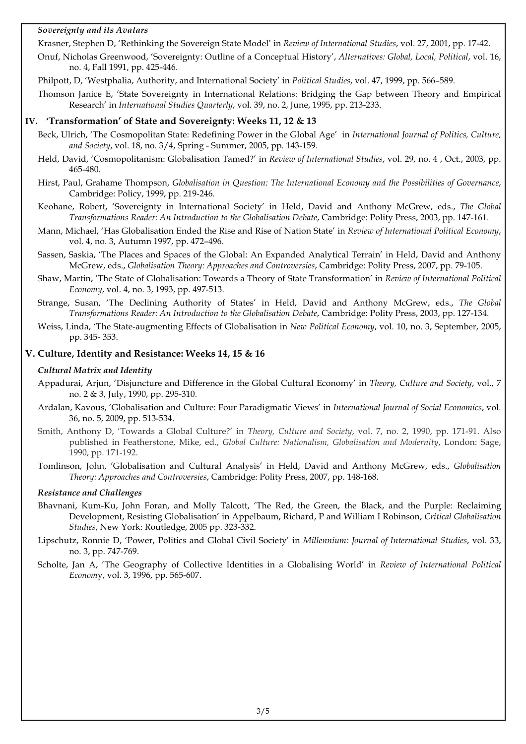## *Sovereignty and its Avatars*

Krasner, Stephen D, 'Rethinking the Sovereign State Model' in *Review of International Studies*, vol. 27, 2001, pp. 17-42.

Onuf, Nicholas Greenwood, 'Sovereignty: Outline of a Conceptual History', *Alternatives: Global, Local, Political*, vol. 16, no. 4, Fall 1991, pp. 425-446.

Philpott, D, 'Westphalia, Authority, and International Society' in *Political Studies*, vol. 47, 1999, pp. 566–589.

Thomson Janice E, 'State Sovereignty in International Relations: Bridging the Gap between Theory and Empirical Research' in *International Studies Quarterly*, vol. 39, no. 2, June, 1995, pp. 213-233.

#### **IV. 'Transformation' of State and Sovereignty: Weeks 11, 12 & 13**

- Beck, Ulrich, 'The Cosmopolitan State: Redefining Power in the Global Age' in *International Journal of Politics, Culture, and Society*, vol. 18, no. 3/4, Spring - Summer, 2005, pp. 143-159.
- Held, David, 'Cosmopolitanism: Globalisation Tamed?' in *Review of International Studies*, vol. 29, no. 4 , Oct., 2003, pp. 465-480.
- Hirst, Paul, Grahame Thompson, *Globalisation in Question: The International Economy and the Possibilities of Governance*, Cambridge: Policy, 1999, pp. 219-246.
- Keohane, Robert, 'Sovereignty in International Society' in Held, David and Anthony McGrew, eds., *The Global Transformations Reader: An Introduction to the Globalisation Debate*, Cambridge: Polity Press, 2003, pp. 147-161.
- Mann, Michael, 'Has Globalisation Ended the Rise and Rise of Nation State' in *Review of International Political Economy*, vol. 4, no. 3, Autumn 1997, pp. 472–496.
- Sassen, Saskia, 'The Places and Spaces of the Global: An Expanded Analytical Terrain' in Held, David and Anthony McGrew, eds., *Globalisation Theory: Approaches and Controversies*, Cambridge: Polity Press, 2007, pp. 79-105.
- Shaw, Martin, 'The State of Globalisation: Towards a Theory of State Transformation' in *Review of International Political Economy*, vol. 4, no. 3, 1993, pp. 497-513.
- Strange, Susan, 'The Declining Authority of States' in Held, David and Anthony McGrew, eds., *The Global Transformations Reader: An Introduction to the Globalisation Debate*, Cambridge: Polity Press, 2003, pp. 127-134.
- Weiss, Linda, 'The State-augmenting Effects of Globalisation in *New Political Economy*, vol. 10, no. 3, September, 2005, pp. 345- 353.

#### **V. Culture, Identity and Resistance: Weeks 14, 15 & 16**

#### *Cultural Matrix and Identity*

- Appadurai, Arjun, 'Disjuncture and Difference in the Global Cultural Economy' in *Theory, Culture and Society*, vol., 7 no. 2 & 3, July, 1990, pp. 295-310.
- Ardalan, Kavous, 'Globalisation and Culture: Four Paradigmatic Views' in *International Journal of Social Economics*, vol. 36, no. 5, 2009, pp. 513-534.
- Smith, Anthony D, 'Towards a Global Culture?' in *Theory, Culture and Society*, vol. 7, no. 2, 1990, pp. 171-91. Also published in Featherstone, Mike, ed., *Global Culture: Nationalism, Globalisation and Modernity*, London: Sage, 1990, pp. 171-192.
- Tomlinson, John, 'Globalisation and Cultural Analysis' in Held, David and Anthony McGrew, eds., *Globalisation Theory: Approaches and Controversies*, Cambridge: Polity Press, 2007, pp. 148-168.

#### *Resistance and Challenges*

- Bhavnani, Kum-Ku, John Foran, and Molly Talcott, 'The Red, the Green, the Black, and the Purple: Reclaiming Development, Resisting Globalisation' in Appelbaum, Richard, P and William I Robinson, *Critical Globalisation Studies*, New York: Routledge, 2005 pp. 323-332.
- Lipschutz, Ronnie D, 'Power, Politics and Global Civil Society' in *Millennium: Journal of International Studies*, vol. 33, no. 3, pp. 747-769.
- Scholte, Jan A, 'The Geography of Collective Identities in a Globalising World' in *Review of International Political Econom*y, vol. 3, 1996, pp. 565-607.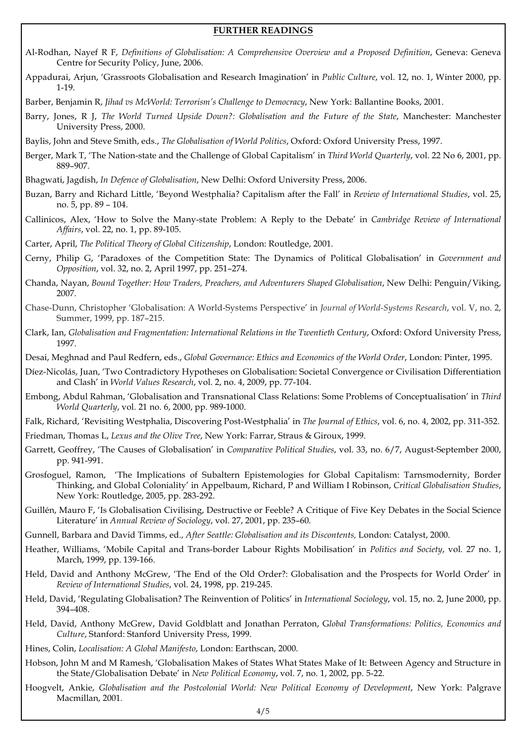#### **FURTHER READINGS**

- Al-Rodhan, Nayef R F, *Definitions of Globalisation: A Comprehensive Overview and a Proposed Definition*, Geneva: Geneva Centre for Security Policy, June, 2006.
- Appadurai, Arjun, 'Grassroots Globalisation and Research Imagination' in *Public Culture*, vol. 12, no. 1, Winter 2000, pp. 1-19.
- Barber, Benjamin R, *Jihad vs McWorld: Terrorism's Challenge to Democracy*, New York: Ballantine Books, 2001.
- Barry, Jones, R J, *The World Turned Upside Down?: Globalisation and the Future of the State*, Manchester: Manchester University Press, 2000.
- Baylis, John and Steve Smith, eds., *The Globalisation of World Politics*, Oxford: Oxford University Press, 1997.
- Berger, Mark T, 'The Nation-state and the Challenge of Global Capitalism' in *Third World Quarterly*, vol. 22 No 6, 2001, pp. 889–907.
- Bhagwati, Jagdish, *In Defence of Globalisation*, New Delhi: Oxford University Press, 2006.
- Buzan, Barry and Richard Little, 'Beyond Westphalia? Capitalism after the Fall' in *Review of International Studies*, vol. 25, no. 5, pp. 89 – 104.
- Callinicos, Alex, 'How to Solve the Many-state Problem: A Reply to the Debate' in *Cambridge Review of International Affairs*, vol. 22, no. 1, pp. 89-105.

Carter, April, *The Political Theory of Global Citizenship*, London: Routledge, 2001.

- Cerny, Philip G, 'Paradoxes of the Competition State: The Dynamics of Political Globalisation' in *Government and Opposition*, vol. 32, no. 2, April 1997, pp. 251–274.
- Chanda, Nayan, *Bound Together: How Traders, Preachers, and Adventurers Shaped Globalisation*, New Delhi: Penguin/Viking, 2007.
- Chase-Dunn, Christopher 'Globalisation: A World-Systems Perspective' in *Journal of World-Systems Research*, vol. V, no. 2, Summer, 1999, pp. 187–215.
- Clark, Ian, *Globalisation and Fragmentation: International Relations in the Twentieth Century*, Oxford: Oxford University Press, 1997.
- Desai, Meghnad and Paul Redfern, eds., *Global Governance: Ethics and Economics of the World Order*, London: Pinter, 1995.
- Díez-Nicolás, Juan, 'Two Contradictory Hypotheses on Globalisation: Societal Convergence or Civilisation Differentiation and Clash' in *World Values Research*, vol. 2, no. 4, 2009, pp. 77-104.
- Embong, Abdul Rahman, 'Globalisation and Transnational Class Relations: Some Problems of Conceptualisation' in *Third World Quarterly*, vol. 21 no. 6, 2000, pp. 989-1000.
- Falk, Richard, 'Revisiting Westphalia, Discovering Post-Westphalia' in *The Journal of Ethics*, vol. 6, no. 4, 2002, pp. 311-352.
- Friedman, Thomas L, *Lexus and the Olive Tree*, New York: Farrar, Straus & Giroux, 1999.
- Garrett, Geoffrey, 'The Causes of Globalisation' in *Comparative Political Studies*, vol. 33, no. 6/7, August-September 2000, pp. 941-991.
- Grosfoguel, Ramon, 'The Implications of Subaltern Epistemologies for Global Capitalism: Tarnsmodernity, Border Thinking, and Global Coloniality' in Appelbaum, Richard, P and William I Robinson, *Critical Globalisation Studies*, New York: Routledge, 2005, pp. 283-292.
- Guillén, Mauro F, 'Is Globalisation Civilising, Destructive or Feeble? A Critique of Five Key Debates in the Social Science Literature' in *Annual Review of Sociology*, vol. 27, 2001, pp. 235–60.
- Gunnell, Barbara and David Timms, ed., *After Seattle: Globalisation and its Discontents,* London: Catalyst, 2000.
- Heather, Williams, 'Mobile Capital and Trans-border Labour Rights Mobilisation' in *Politics and Society*, vol. 27 no. 1, March, 1999, pp. 139-166.
- Held, David and Anthony McGrew, 'The End of the Old Order?: Globalisation and the Prospects for World Order' in *Review of International Studies*, vol. 24, 1998, pp. 219-245.
- Held, David, 'Regulating Globalisation? The Reinvention of Politics' in *International Sociology*, vol. 15, no. 2, June 2000, pp. 394–408.
- Held, David, Anthony McGrew, David Goldblatt and Jonathan Perraton, G*lobal Transformations: Politics, Economics and Culture*, Stanford: Stanford University Press, 1999.
- Hines, Colin, *Localisation: A Global Manifesto*, London: Earthscan, 2000.
- Hobson, John M and M Ramesh, 'Globalisation Makes of States What States Make of It: Between Agency and Structure in the State/Globalisation Debate' in *New Political Economy*, vol. 7, no. 1, 2002, pp. 5-22.
- Hoogvelt, Ankie, *Globalisation and the Postcolonial World: New Political Economy of Development*, New York: Palgrave Macmillan, 2001*.*